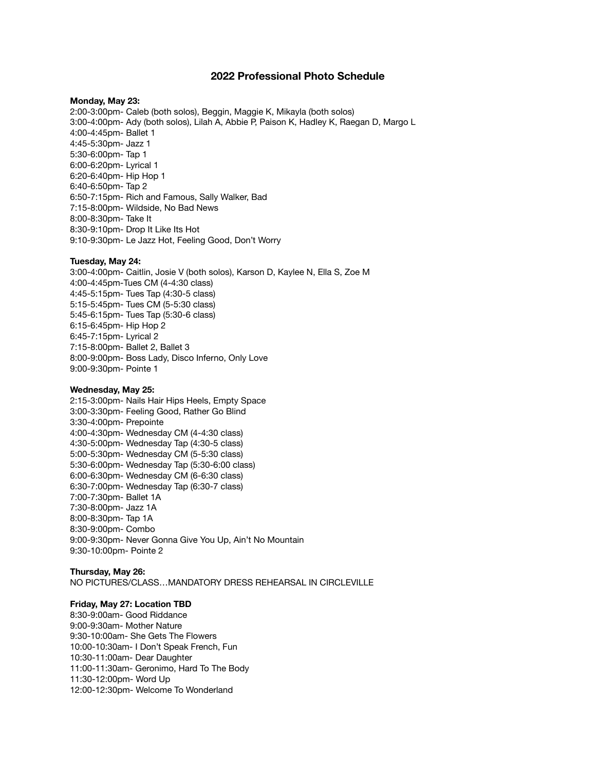# **2022 Professional Photo Schedule**

### **Monday, May 23:**

2:00-3:00pm- Caleb (both solos), Beggin, Maggie K, Mikayla (both solos) 3:00-4:00pm- Ady (both solos), Lilah A, Abbie P, Paison K, Hadley K, Raegan D, Margo L 4:00-4:45pm- Ballet 1 4:45-5:30pm- Jazz 1 5:30-6:00pm- Tap 1 6:00-6:20pm- Lyrical 1 6:20-6:40pm- Hip Hop 1 6:40-6:50pm- Tap 2 6:50-7:15pm- Rich and Famous, Sally Walker, Bad 7:15-8:00pm- Wildside, No Bad News 8:00-8:30pm- Take It 8:30-9:10pm- Drop It Like Its Hot 9:10-9:30pm- Le Jazz Hot, Feeling Good, Don't Worry

### **Tuesday, May 24:**

3:00-4:00pm- Caitlin, Josie V (both solos), Karson D, Kaylee N, Ella S, Zoe M 4:00-4:45pm-Tues CM (4-4:30 class) 4:45-5:15pm- Tues Tap (4:30-5 class) 5:15-5:45pm- Tues CM (5-5:30 class) 5:45-6:15pm- Tues Tap (5:30-6 class) 6:15-6:45pm- Hip Hop 2 6:45-7:15pm- Lyrical 2 7:15-8:00pm- Ballet 2, Ballet 3 8:00-9:00pm- Boss Lady, Disco Inferno, Only Love 9:00-9:30pm- Pointe 1

#### **Wednesday, May 25:**

2:15-3:00pm- Nails Hair Hips Heels, Empty Space 3:00-3:30pm- Feeling Good, Rather Go Blind 3:30-4:00pm- Prepointe 4:00-4:30pm- Wednesday CM (4-4:30 class) 4:30-5:00pm- Wednesday Tap (4:30-5 class) 5:00-5:30pm- Wednesday CM (5-5:30 class) 5:30-6:00pm- Wednesday Tap (5:30-6:00 class) 6:00-6:30pm- Wednesday CM (6-6:30 class) 6:30-7:00pm- Wednesday Tap (6:30-7 class) 7:00-7:30pm- Ballet 1A 7:30-8:00pm- Jazz 1A 8:00-8:30pm- Tap 1A 8:30-9:00pm- Combo 9:00-9:30pm- Never Gonna Give You Up, Ain't No Mountain 9:30-10:00pm- Pointe 2

## **Thursday, May 26:**  NO PICTURES/CLASS…MANDATORY DRESS REHEARSAL IN CIRCLEVILLE

# **Friday, May 27: Location TBD**

8:30-9:00am- Good Riddance 9:00-9:30am- Mother Nature 9:30-10:00am- She Gets The Flowers 10:00-10:30am- I Don't Speak French, Fun 10:30-11:00am- Dear Daughter 11:00-11:30am- Geronimo, Hard To The Body 11:30-12:00pm- Word Up 12:00-12:30pm- Welcome To Wonderland